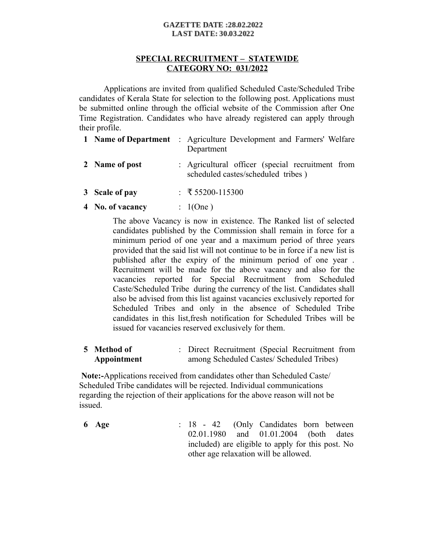### **GAZETTE DATE:28.02.2022 LAST DATE: 30.03.2022**

# **SPECIAL RECRUITMENT – STATEWIDE CATEGORY NO: 031/2022**

Applications are invited from qualified Scheduled Caste/Scheduled Tribe candidates of Kerala State for selection to the following post. Applications must be submitted online through the official website of the Commission after One Time Registration. Candidates who have already registered can apply through their profile.

|                                       | <b>1 Name of Department</b> : Agriculture Development and Farmers' Welfare<br>Department                                          |
|---------------------------------------|-----------------------------------------------------------------------------------------------------------------------------------|
| 2 Name of post                        | : Agricultural officer (special recruitment from<br>scheduled castes/scheduled tribes)                                            |
| $\bullet$ $\circ$ $\bullet$ $\bullet$ | $\mathbf{F}$ $\mathbf{F}$ $\mathbf{F}$ $\mathbf{A}$ $\mathbf{A}$ $\mathbf{A}$ $\mathbf{F}$ $\mathbf{A}$ $\mathbf{A}$ $\mathbf{A}$ |

- **3 Scale of pay** : ₹ 55200-115300
- **4 No. of vacancy** : 1(One )

The above Vacancy is now in existence. The Ranked list of selected candidates published by the Commission shall remain in force for a minimum period of one year and a maximum period of three years provided that the said list will not continue to be in force if a new list is published after the expiry of the minimum period of one year . Recruitment will be made for the above vacancy and also for the vacancies reported for Special Recruitment from Scheduled Caste/Scheduled Tribe during the currency of the list. Candidates shall also be advised from this list against vacancies exclusively reported for Scheduled Tribes and only in the absence of Scheduled Tribe candidates in this list,fresh notification for Scheduled Tribes will be issued for vacancies reserved exclusively for them.

| 5 Method of | : Direct Recruitment (Special Recruitment from |
|-------------|------------------------------------------------|
| Appointment | among Scheduled Castes/ Scheduled Tribes)      |

 **Note:-**Applications received from candidates other than Scheduled Caste/ Scheduled Tribe candidates will be rejected. Individual communications regarding the rejection of their applications for the above reason will not be issued.

**6 Age** : 18 - 42 (Only Candidates born between 02.01.1980 and 01.01.2004 (both dates included) are eligible to apply for this post. No other age relaxation will be allowed.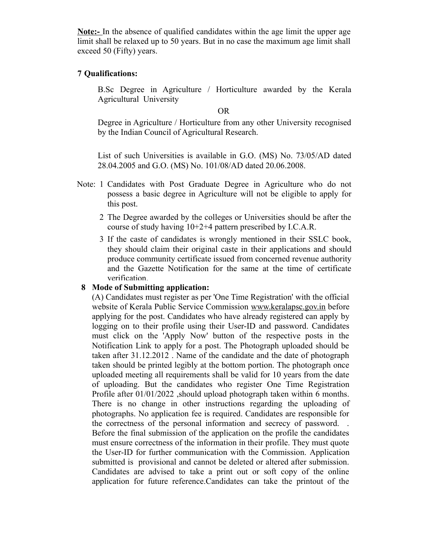**Note:-** In the absence of qualified candidates within the age limit the upper age limit shall be relaxed up to 50 years. But in no case the maximum age limit shall exceed 50 (Fifty) years.

## **7 Qualifications:**

B.Sc Degree in Agriculture / Horticulture awarded by the Kerala Agricultural University

OR

Degree in Agriculture / Horticulture from any other University recognised by the Indian Council of Agricultural Research.

List of such Universities is available in G.O. (MS) No. 73/05/AD dated 28.04.2005 and G.O. (MS) No. 101/08/AD dated 20.06.2008.

- Note: 1 Candidates with Post Graduate Degree in Agriculture who do not possess a basic degree in Agriculture will not be eligible to apply for this post.
	- 2 The Degree awarded by the colleges or Universities should be after the course of study having 10+2+4 pattern prescribed by I.C.A.R.
	- 3 If the caste of candidates is wrongly mentioned in their SSLC book, they should claim their original caste in their applications and should produce community certificate issued from concerned revenue authority and the Gazette Notification for the same at the time of certificate verification.

## **8 Mode of Submitting application:**

(A) Candidates must register as per 'One Time Registration' with the official website of Kerala Public Service Commission www.keralapsc.gov.in before applying for the post. Candidates who have already registered can apply by logging on to their profile using their User-ID and password. Candidates must click on the 'Apply Now' button of the respective posts in the Notification Link to apply for a post. The Photograph uploaded should be taken after 31.12.2012 . Name of the candidate and the date of photograph taken should be printed legibly at the bottom portion. The photograph once uploaded meeting all requirements shall be valid for 10 years from the date of uploading. But the candidates who register One Time Registration Profile after 01/01/2022 , should upload photograph taken within 6 months. There is no change in other instructions regarding the uploading of photographs. No application fee is required. Candidates are responsible for the correctness of the personal information and secrecy of password. . Before the final submission of the application on the profile the candidates must ensure correctness of the information in their profile. They must quote the User-ID for further communication with the Commission. Application submitted is provisional and cannot be deleted or altered after submission. Candidates are advised to take a print out or soft copy of the online application for future reference.Candidates can take the printout of the